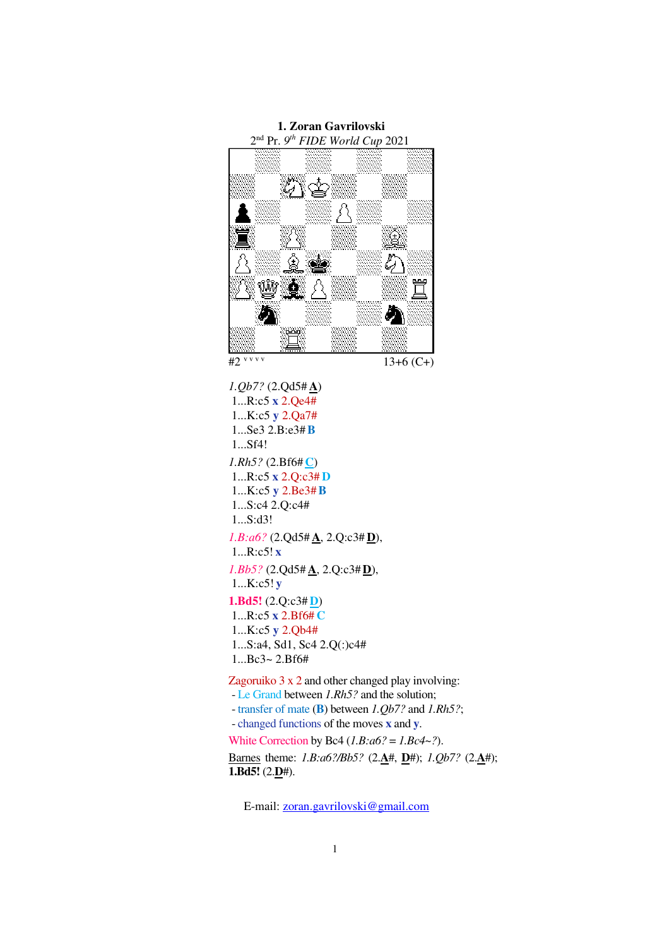

*1.Qb7?* (2.Qd5# **A**) 1...R:c5 **x** 2.Qe4# 1...K:c5 **y** 2.Qa7# 1...Se3 2.B:e3#**B**  1...Sf4! *1.Rh5?* (2.Bf6# **C**) 1...R:c5 **x** 2.Q:c3# **D** 1...K:c5 **y** 2.Be3#**B** 1...S:c4 2.Q:c4# 1...S:d3! *1.B:a6?* (2.Qd5# **A**, 2.Q:c3# **D**), 1...R:c5! **x** *1.Bb5?* (2.Qd5# **A**, 2.Q:c3#**D**), 1...K:c5! **y 1.Bd5!** (2.Q:c3# **D**) 1...R:c5 **x** 2.Bf6# **C** 1...K:c5 **y** 2.Qb4# 1...S:a4, Sd1, Sc4 2.Q(:)c4#  $1...Be3 - 2.Bf6#$ 

Zagoruiko 3 x 2 and other changed play involving:

- Le Grand between *1.Rh5?* and the solution;

- transfer of mate (**B**) between *1.Qb7?* and *1.Rh5?*;

- changed functions of the moves **x** and **y**.

White Correction by Bc4 (*1.B:a6?* = *1.Bc4~?*).

Barnes theme: *1.B:a6?/Bb5?* (2.**A**#, **D**#); *1.Qb7?* (2.**A**#); **1.Bd5!** (2.**D**#).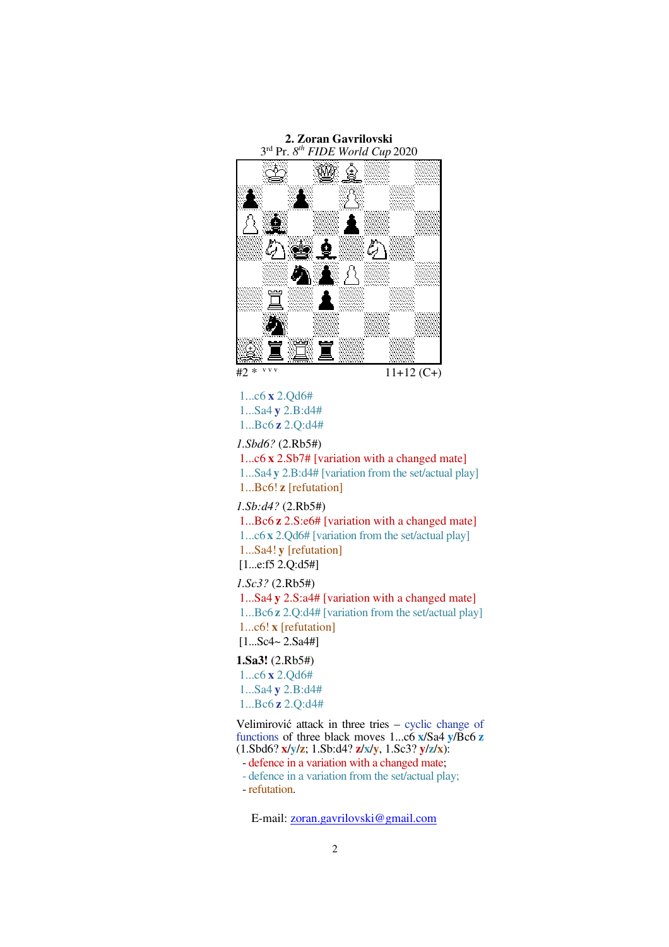

1...c6 **x** 2.Qd6# 1...Sa4 **y** 2.B:d4# 1...Bc6 **z** 2.Q:d4#

# *1.Sbd6?* (2.Rb5#)

1...c6 **x** 2.Sb7# [variation with a changed mate] 1...Sa4 **y** 2.B:d4# [variation from the set/actual play] 1...Bc6! **z** [refutation]

*1.Sb:d4?* (2.Rb5#)

1...Bc6 **z** 2.S:e6# [variation with a changed mate]

1...c6 **x** 2.Qd6# [variation from the set/actual play]

 1...Sa4! **y** [refutation] [1...e:f5 2.Q:d5#]

## *1.Sc3?* (2.Rb5#)

 1...Sa4 **y** 2.S:a4# [variation with a changed mate] 1...Bc6 **z** 2.Q:d4# [variation from the set/actual play] 1...c6! **x** [refutation]  $[1...Sc4 \sim 2.Sa4 \#]$ 

### **1.Sa3!** (2.Rb5#)

1...c6 **x** 2.Qd6# 1...Sa4 **y** 2.B:d4# 1...Bc6 **z** 2.Q:d4#

Velimirović attack in three tries – cyclic change of functions of three black moves 1...c6 **x**/Sa4 **y**/Bc6 **z** (1.Sbd6? **x**/**y**/**z**; 1.Sb:d4? **z**/**x**/**y**, 1.Sc3? **y**/**z**/**x**):

- defence in a variation with a changed mate;

- defence in a variation from the set/actual play;

- refutation.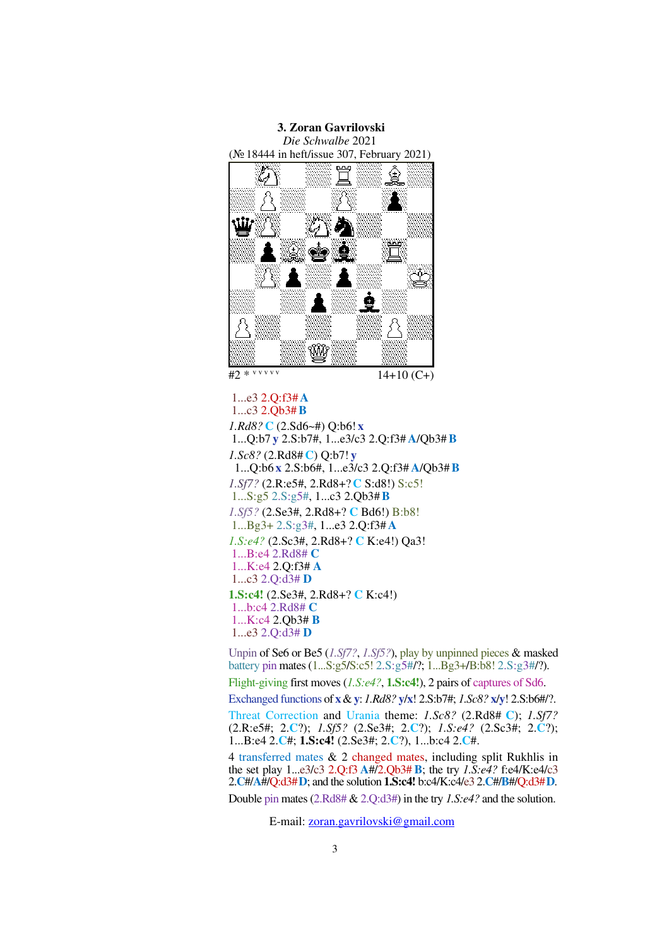

 1...e3 2.Q:f3# **A** 1...c3 2.Qb3#**B** *1.Rd8?* **C** (2.Sd6~#) Q:b6! **x** 1...Q:b7 **y** 2.S:b7#, 1...e3/c3 2.Q:f3# **A**/Qb3#**B**  *1.Sc8?* (2.Rd8# **C**) Q:b7! **y** 1...Q:b6 **x** 2.S:b6#, 1...e3/c3 2.Q:f3# **A**/Qb3#**B** *1.Sf7?* (2.R:e5#, 2.Rd8+? **C** S:d8!) S:c5! 1...S:g5 2.S:g5#, 1...c3 2.Qb3#**B**  *1.Sf5?* (2.Se3#, 2.Rd8+? **C** Bd6!) B:b8! 1...Bg3+ 2.S:g3#, 1...e3 2.Q:f3# **A**  *1.S:e4?* (2.Sc3#, 2.Rd8+? **C** K:e4!) Qa3! 1...B:e4 2.Rd8# **C** 1...K:e4 2.Q:f3# **A**  1...c3 2.Q:d3# **D 1.S:c4!** (2.Se3#, 2.Rd8+? **C** K:c4!) 1...b:c4 2.Rd8# **C** 1...K:c4 2.Qb3# **B**  1...e3 2.Q:d3# **D**

Unpin of Se6 or Be5 (*1.Sf7?*, *1.Sf5?*), play by unpinned pieces & masked battery pin mates (1...S:g5/S:c5! 2.S:g5#/?; 1...Bg3+/B:b8! 2.S:g3#/?).

Flight-giving first moves (*1.S:e4?*, **1.S:c4!**), 2 pairs of captures of Sd6.

Exchanged functions of **x** & **y**: *1.Rd8?* **y**/**x**! 2.S:b7#; *1.Sc8?* **x**/**y**! 2.S:b6#/?.

Threat Correction and Urania theme: *1.Sc8?* (2.Rd8# **C**); *1.Sf7?*  (2.R:e5#; 2.**C**?); *1.Sf5?* (2.Se3#; 2.**C**?); *1.S:e4?* (2.Sc3#; 2.**C**?); 1...B:e4 2.**C**#; **1.S:c4!** (2.Se3#; 2.**C**?), 1...b:c4 2.**C**#.

4 transferred mates & 2 changed mates, including split Rukhlis in the set play 1...e3/c3 2.Q:f3 **A**#/2.Qb3# **B**; the try *1.S:e4?* f:e4/K:e4/c3 2.**C**#/**A**#/Q:d3#**D**; and the solution **1.S:c4!** b:c4/K:c4/e3 2.**C**#/**B**#/Q:d3#**D**.

Double pin mates (2.Rd8# & 2.Q:d3#) in the try *1.S:e4?* and the solution.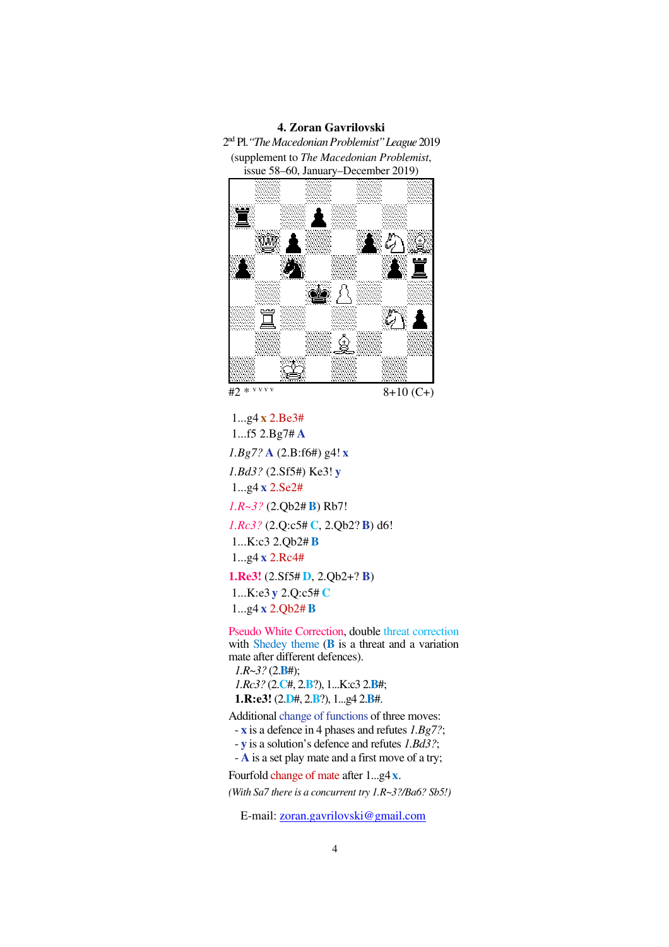### **4. Zoran Gavrilovski**

2 nd Pl.*"The Macedonian Problemist"League* 2019 (supplement to *The Macedonian Problemist*, issue 58–60, January–December 2019)



 1...g4 **x** 2.Be3# 1...f5 2.Bg7# **A** *1.Bg7?* **A** (2.B:f6#) g4! **x** *1.Bd3?* (2.Sf5#) Ke3! **y** 1...g4 **x** 2.Se2# *1.R~3?* (2.Qb2# **B**) Rb7! *1.Rc3?* (2.Q:c5# **C**, 2.Qb2? **B**) d6! 1...K:c3 2.Qb2# **B** 1...g4 **x** 2.Rc4# **1.Re3!** (2.Sf5# **D**, 2.Qb2+? **B**) 1...K:e3 **y** 2.Q:c5# **C** 1...g4 **x** 2.Qb2# **B**

Pseudo White Correction, double threat correction with Shedey theme (**B** is a threat and a variation mate after different defences). *1.R~3?* (2.**B**#);

*1.Rc3?* (2.**C**#, 2.**B**?), 1...K:c3 2.**B**#; **1.R:e3!** (2.**D**#, 2.**B**?), 1...g4 2.**B**#.

Additional change of functions of three moves:

- **x** is a defence in 4 phases and refutes *1.Bg7?*;

- **y** is a solution's defence and refutes *1.Bd3?*;

- **A** is a set play mate and a first move of a try;

Fourfold change of mate after 1...g4**x**.

*(With Sa7 there is a concurrent try 1.R~3?/Ba6? Sb5!)*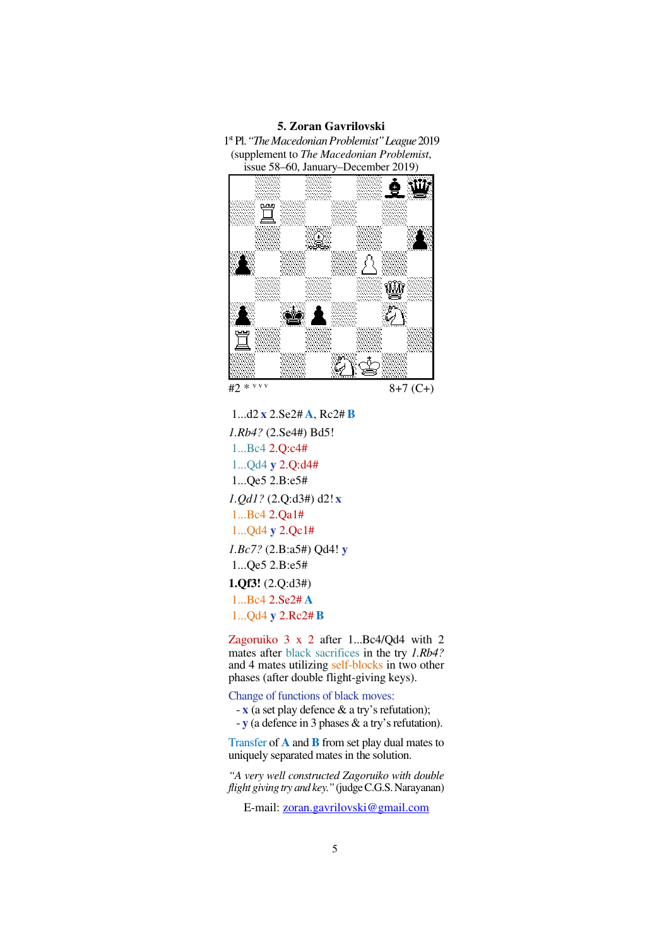### **5. Zoran Gavrilovski**

1 st Pl.*"The Macedonian Problemist"League* 2019 (supplement to *The Macedonian Problemist*, issue 58–60, January–December 2019)



 1...d2 **x** 2.Se2# **A**, Rc2# **B** *1.Rb4?* (2.Se4#) Bd5! 1...Bc4 2.Q:c4# 1...Qd4 **y** 2.Q:d4# 1...Qe5 2.B:e5# *1.Qd1?* (2.Q:d3#) d2! **x** 1...Bc4 2.Qa1# 1...Qd4 **y** 2.Qc1# *1.Bc7?* (2.B:a5#) Qd4! **y** 1...Qe5 2.B:e5# **1.Qf3!** (2.Q:d3#) 1...Bc4 2.Se2# **A** 1...Qd4 **y** 2.Rc2# **B**

Zagoruiko 3 x 2 after 1...Bc4/Qd4 with 2 mates after black sacrifices in the try *1.Rb4?* and 4 mates utilizing self-blocks in two other phases (after double flight-giving keys).

Change of functions of black moves:

- **x** (a set play defence & a try's refutation);

- **y** (a defence in 3 phases & a try's refutation).

Transfer of **A** and **B** from set play dual mates to uniquely separated mates in the solution.

*"A very well constructed Zagoruiko with double flight giving try and key."* (judge C.G.S. Narayanan)